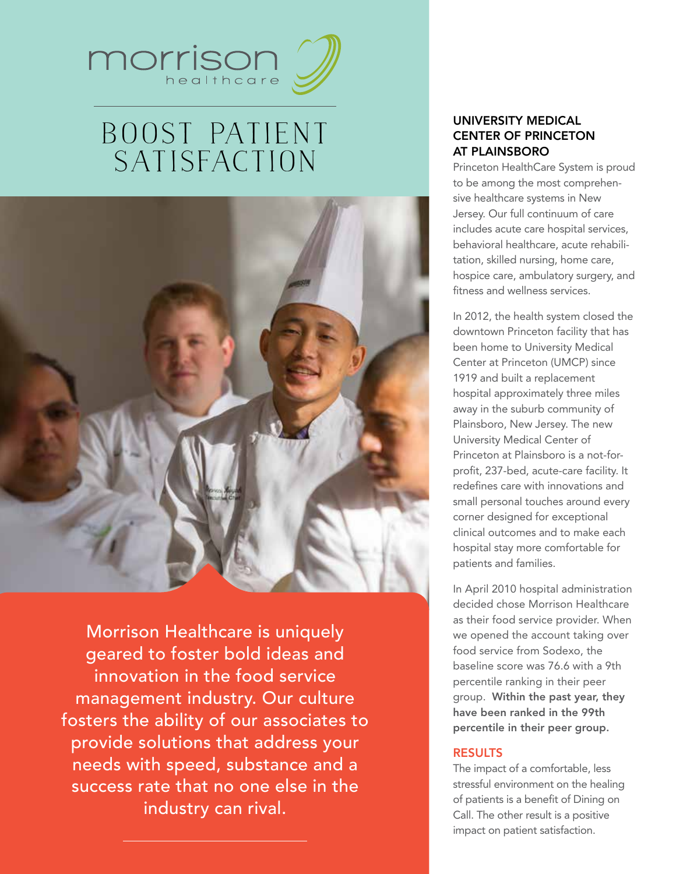

# Boost Patient **SATISFACTION**



Morrison Healthcare is uniquely geared to foster bold ideas and innovation in the food service management industry. Our culture fosters the ability of our associates to provide solutions that address your needs with speed, substance and a success rate that no one else in the industry can rival.

## University Medical Center of Princeton at Plainsboro

Princeton HealthCare System is proud to be among the most comprehensive healthcare systems in New Jersey. Our full continuum of care includes acute care hospital services, behavioral healthcare, acute rehabilitation, skilled nursing, home care, hospice care, ambulatory surgery, and fitness and wellness services.

In 2012, the health system closed the downtown Princeton facility that has been home to University Medical Center at Princeton (UMCP) since 1919 and built a replacement hospital approximately three miles away in the suburb community of Plainsboro, New Jersey. The new University Medical Center of Princeton at Plainsboro is a not-forprofit, 237-bed, acute-care facility. It redefines care with innovations and small personal touches around every corner designed for exceptional clinical outcomes and to make each hospital stay more comfortable for patients and families.

In April 2010 hospital administration decided chose Morrison Healthcare as their food service provider. When we opened the account taking over food service from Sodexo, the baseline score was 76.6 with a 9th percentile ranking in their peer group. Within the past year, they have been ranked in the 99th percentile in their peer group.

#### **RESULTS**

The impact of a comfortable, less stressful environment on the healing of patients is a benefit of Dining on Call. The other result is a positive impact on patient satisfaction.